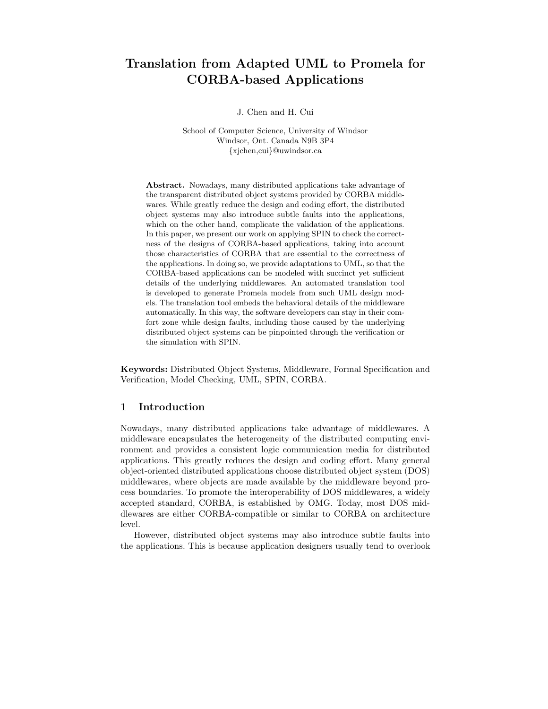# **Translation from Adapted UML to Promela for CORBA-based Applications**

J. Chen and H. Cui

School of Computer Science, University of Windsor Windsor, Ont. Canada N9B 3P4 {xjchen,cui}@uwindsor.ca

**Abstract.** Nowadays, many distributed applications take advantage of the transparent distributed object systems provided by CORBA middlewares. While greatly reduce the design and coding effort, the distributed object systems may also introduce subtle faults into the applications, which on the other hand, complicate the validation of the applications. In this paper, we present our work on applying SPIN to check the correctness of the designs of CORBA-based applications, taking into account those characteristics of CORBA that are essential to the correctness of the applications. In doing so, we provide adaptations to UML, so that the CORBA-based applications can be modeled with succinct yet sufficient details of the underlying middlewares. An automated translation tool is developed to generate Promela models from such UML design models. The translation tool embeds the behavioral details of the middleware automatically. In this way, the software developers can stay in their comfort zone while design faults, including those caused by the underlying distributed object systems can be pinpointed through the verification or the simulation with SPIN.

**Keywords:** Distributed Object Systems, Middleware, Formal Specification and Verification, Model Checking, UML, SPIN, CORBA.

## **1 Introduction**

Nowadays, many distributed applications take advantage of middlewares. A middleware encapsulates the heterogeneity of the distributed computing environment and provides a consistent logic communication media for distributed applications. This greatly reduces the design and coding effort. Many general object-oriented distributed applications choose distributed object system (DOS) middlewares, where objects are made available by the middleware beyond process boundaries. To promote the interoperability of DOS middlewares, a widely accepted standard, CORBA, is established by OMG. Today, most DOS middlewares are either CORBA-compatible or similar to CORBA on architecture level.

However, distributed object systems may also introduce subtle faults into the applications. This is because application designers usually tend to overlook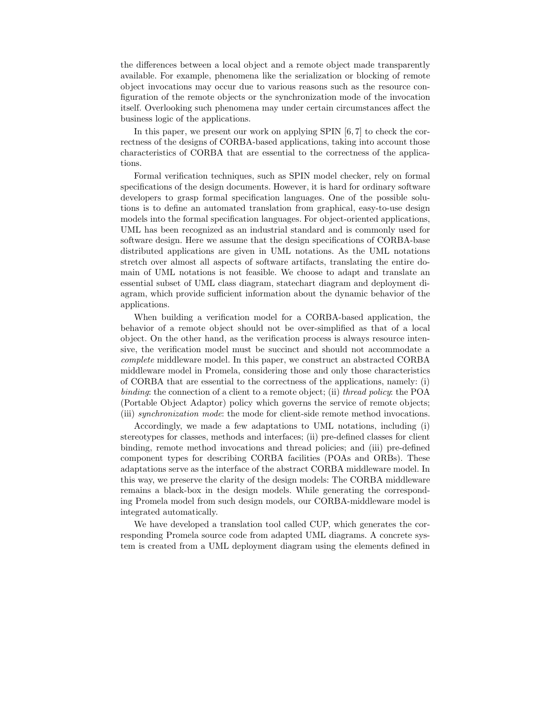the differences between a local object and a remote object made transparently available. For example, phenomena like the serialization or blocking of remote object invocations may occur due to various reasons such as the resource configuration of the remote objects or the synchronization mode of the invocation itself. Overlooking such phenomena may under certain circumstances affect the business logic of the applications.

In this paper, we present our work on applying SPIN  $[6, 7]$  to check the correctness of the designs of CORBA-based applications, taking into account those characteristics of CORBA that are essential to the correctness of the applications.

Formal verification techniques, such as SPIN model checker, rely on formal specifications of the design documents. However, it is hard for ordinary software developers to grasp formal specification languages. One of the possible solutions is to define an automated translation from graphical, easy-to-use design models into the formal specification languages. For object-oriented applications, UML has been recognized as an industrial standard and is commonly used for software design. Here we assume that the design specifications of CORBA-base distributed applications are given in UML notations. As the UML notations stretch over almost all aspects of software artifacts, translating the entire domain of UML notations is not feasible. We choose to adapt and translate an essential subset of UML class diagram, statechart diagram and deployment diagram, which provide sufficient information about the dynamic behavior of the applications.

When building a verification model for a CORBA-based application, the behavior of a remote object should not be over-simplified as that of a local object. On the other hand, as the verification process is always resource intensive, the verification model must be succinct and should not accommodate a *complete* middleware model. In this paper, we construct an abstracted CORBA middleware model in Promela, considering those and only those characteristics of CORBA that are essential to the correctness of the applications, namely: (i) *binding*: the connection of a client to a remote object; (ii) *thread policy*: the POA (Portable Object Adaptor) policy which governs the service of remote objects; (iii) *synchronization mode*: the mode for client-side remote method invocations.

Accordingly, we made a few adaptations to UML notations, including (i) stereotypes for classes, methods and interfaces; (ii) pre-defined classes for client binding, remote method invocations and thread policies; and (iii) pre-defined component types for describing CORBA facilities (POAs and ORBs). These adaptations serve as the interface of the abstract CORBA middleware model. In this way, we preserve the clarity of the design models: The CORBA middleware remains a black-box in the design models. While generating the corresponding Promela model from such design models, our CORBA-middleware model is integrated automatically.

We have developed a translation tool called CUP, which generates the corresponding Promela source code from adapted UML diagrams. A concrete system is created from a UML deployment diagram using the elements defined in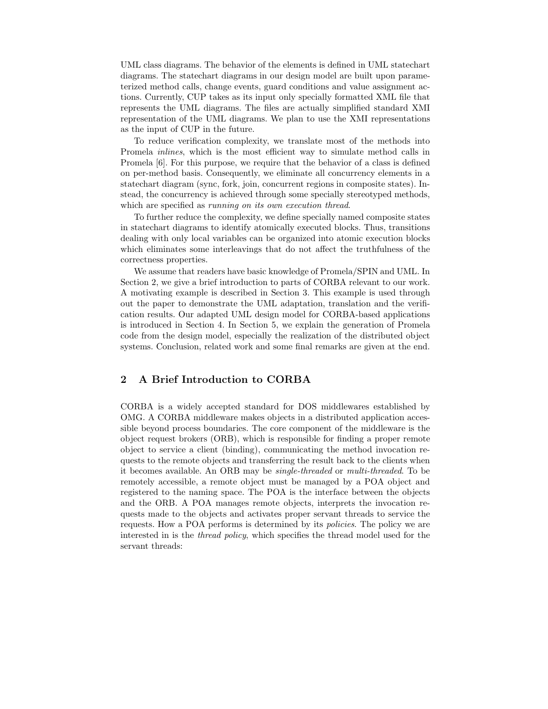UML class diagrams. The behavior of the elements is defined in UML statechart diagrams. The statechart diagrams in our design model are built upon parameterized method calls, change events, guard conditions and value assignment actions. Currently, CUP takes as its input only specially formatted XML file that represents the UML diagrams. The files are actually simplified standard XMI representation of the UML diagrams. We plan to use the XMI representations as the input of CUP in the future.

To reduce verification complexity, we translate most of the methods into Promela *inlines*, which is the most efficient way to simulate method calls in Promela [6]. For this purpose, we require that the behavior of a class is defined on per-method basis. Consequently, we eliminate all concurrency elements in a statechart diagram (sync, fork, join, concurrent regions in composite states). Instead, the concurrency is achieved through some specially stereotyped methods, which are specified as *running on its own execution thread*.

To further reduce the complexity, we define specially named composite states in statechart diagrams to identify atomically executed blocks. Thus, transitions dealing with only local variables can be organized into atomic execution blocks which eliminates some interleavings that do not affect the truthfulness of the correctness properties.

We assume that readers have basic knowledge of Promela/SPIN and UML. In Section 2, we give a brief introduction to parts of CORBA relevant to our work. A motivating example is described in Section 3. This example is used through out the paper to demonstrate the UML adaptation, translation and the verification results. Our adapted UML design model for CORBA-based applications is introduced in Section 4. In Section 5, we explain the generation of Promela code from the design model, especially the realization of the distributed object systems. Conclusion, related work and some final remarks are given at the end.

### **2 A Brief Introduction to CORBA**

CORBA is a widely accepted standard for DOS middlewares established by OMG. A CORBA middleware makes objects in a distributed application accessible beyond process boundaries. The core component of the middleware is the object request brokers (ORB), which is responsible for finding a proper remote object to service a client (binding), communicating the method invocation requests to the remote objects and transferring the result back to the clients when it becomes available. An ORB may be *single-threaded* or *multi-threaded*. To be remotely accessible, a remote object must be managed by a POA object and registered to the naming space. The POA is the interface between the objects and the ORB. A POA manages remote objects, interprets the invocation requests made to the objects and activates proper servant threads to service the requests. How a POA performs is determined by its *policies*. The policy we are interested in is the *thread policy*, which specifies the thread model used for the servant threads: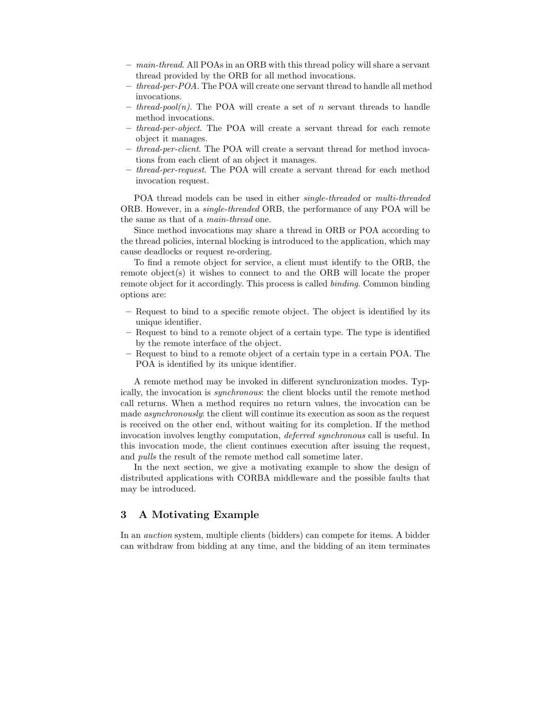- **–** *main-thread*. All POAs in an ORB with this thread policy will share a servant thread provided by the ORB for all method invocations.
- **–** *thread-per-POA*. The POA will create one servant thread to handle all method invocations.
- **–** *thread-pool(n)*. The POA will create a set of *n* servant threads to handle method invocations.
- **–** *thread-per-object*. The POA will create a servant thread for each remote object it manages.
- **–** *thread-per-client*. The POA will create a servant thread for method invocations from each client of an object it manages.
- **–** *thread-per-request*. The POA will create a servant thread for each method invocation request.

POA thread models can be used in either *single-threaded* or *multi-threaded* ORB. However, in a *single-threaded* ORB, the performance of any POA will be the same as that of a *main-thread* one.

Since method invocations may share a thread in ORB or POA according to the thread policies, internal blocking is introduced to the application, which may cause deadlocks or request re-ordering.

To find a remote object for service, a client must identify to the ORB, the remote object(s) it wishes to connect to and the ORB will locate the proper remote object for it accordingly. This process is called *binding*. Common binding options are:

- **–** Request to bind to a specific remote object. The object is identified by its unique identifier.
- **–** Request to bind to a remote object of a certain type. The type is identified by the remote interface of the object.
- **–** Request to bind to a remote object of a certain type in a certain POA. The POA is identified by its unique identifier.

A remote method may be invoked in different synchronization modes. Typically, the invocation is *synchronous*: the client blocks until the remote method call returns. When a method requires no return values, the invocation can be made *asynchronously*: the client will continue its execution as soon as the request is received on the other end, without waiting for its completion. If the method invocation involves lengthy computation, *deferred synchronous* call is useful. In this invocation mode, the client continues execution after issuing the request, and *pulls* the result of the remote method call sometime later.

In the next section, we give a motivating example to show the design of distributed applications with CORBA middleware and the possible faults that may be introduced.

# **3 A Motivating Example**

In an *auction* system, multiple clients (bidders) can compete for items. A bidder can withdraw from bidding at any time, and the bidding of an item terminates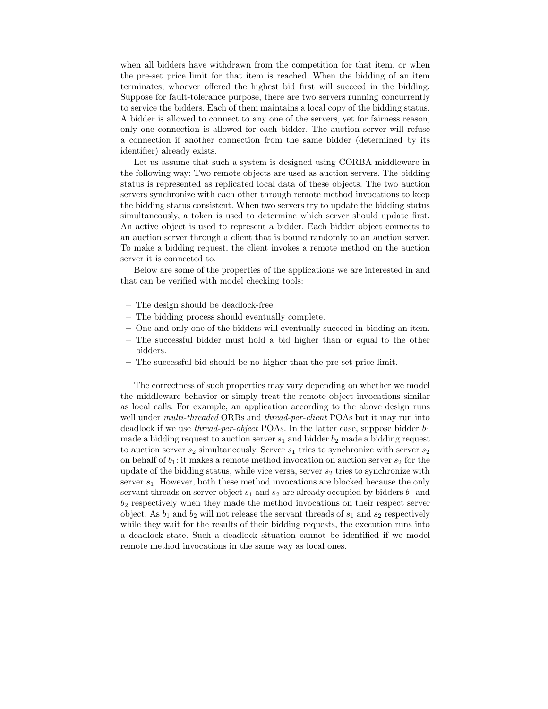when all bidders have withdrawn from the competition for that item, or when the pre-set price limit for that item is reached. When the bidding of an item terminates, whoever offered the highest bid first will succeed in the bidding. Suppose for fault-tolerance purpose, there are two servers running concurrently to service the bidders. Each of them maintains a local copy of the bidding status. A bidder is allowed to connect to any one of the servers, yet for fairness reason, only one connection is allowed for each bidder. The auction server will refuse a connection if another connection from the same bidder (determined by its identifier) already exists.

Let us assume that such a system is designed using CORBA middleware in the following way: Two remote objects are used as auction servers. The bidding status is represented as replicated local data of these objects. The two auction servers synchronize with each other through remote method invocations to keep the bidding status consistent. When two servers try to update the bidding status simultaneously, a token is used to determine which server should update first. An active object is used to represent a bidder. Each bidder object connects to an auction server through a client that is bound randomly to an auction server. To make a bidding request, the client invokes a remote method on the auction server it is connected to.

Below are some of the properties of the applications we are interested in and that can be verified with model checking tools:

- **–** The design should be deadlock-free.
- **–** The bidding process should eventually complete.
- **–** One and only one of the bidders will eventually succeed in bidding an item.
- **–** The successful bidder must hold a bid higher than or equal to the other bidders.
- **–** The successful bid should be no higher than the pre-set price limit.

The correctness of such properties may vary depending on whether we model the middleware behavior or simply treat the remote object invocations similar as local calls. For example, an application according to the above design runs well under *multi-threaded* ORBs and *thread-per-client* POAs but it may run into deadlockif we use *thread-per-object* POAs. In the latter case, suppose bidder *b*<sup>1</sup> made a bidding request to auction server  $s_1$  and bidder  $b_2$  made a bidding request to auction server  $s_2$  simultaneously. Server  $s_1$  tries to synchronize with server  $s_2$ on behalf of  $b_1$ : it makes a remote method invocation on auction server  $s_2$  for the update of the bidding status, while vice versa, server *s*<sup>2</sup> tries to synchronize with server *s*1. However, both these method invocations are blocked because the only servant threads on server object *s*<sup>1</sup> and *s*<sup>2</sup> are already occupied by bidders *b*<sup>1</sup> and *b*<sup>2</sup> respectively when they made the method invocations on their respect server object. As  $b_1$  and  $b_2$  will not release the servant threads of  $s_1$  and  $s_2$  respectively while they wait for the results of their bidding requests, the execution runs into a deadlock state. Such a deadlock situation cannot be identified if we model remote method invocations in the same way as local ones.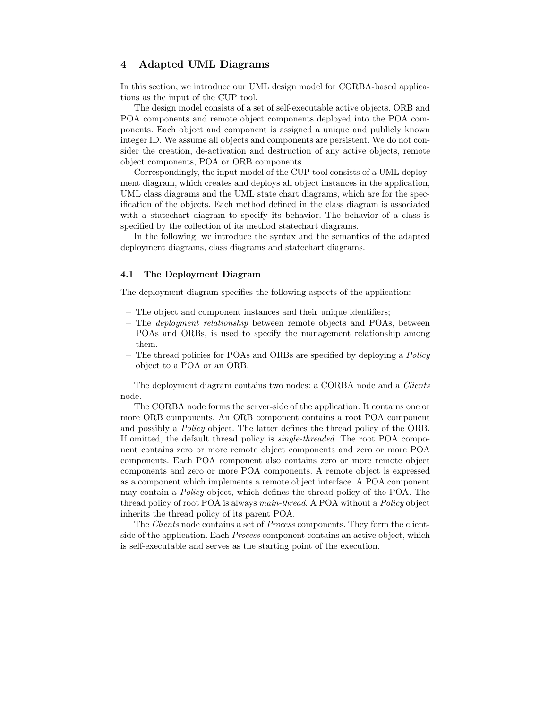# **4 Adapted UML Diagrams**

In this section, we introduce our UML design model for CORBA-based applications as the input of the CUP tool.

The design model consists of a set of self-executable active objects, ORB and POA components and remote object components deployed into the POA components. Each object and component is assigned a unique and publicly known integer ID. We assume all objects and components are persistent. We do not consider the creation, de-activation and destruction of any active objects, remote object components, POA or ORB components.

Correspondingly, the input model of the CUP tool consists of a UML deployment diagram, which creates and deploys all object instances in the application, UML class diagrams and the UML state chart diagrams, which are for the specification of the objects. Each method defined in the class diagram is associated with a statechart diagram to specify its behavior. The behavior of a class is specified by the collection of its method statechart diagrams.

In the following, we introduce the syntax and the semantics of the adapted deployment diagrams, class diagrams and statechart diagrams.

#### **4.1 The Deployment Diagram**

The deployment diagram specifies the following aspects of the application:

- **–** The object and component instances and their unique identifiers;
- **–** The *deployment relationship* between remote objects and POAs, between POAs and ORBs, is used to specify the management relationship among them.
- **–** The thread policies for POAs and ORBs are specified by deploying a *Policy* object to a POA or an ORB.

The deployment diagram contains two nodes: a CORBA node and a *Clients* node.

The CORBA node forms the server-side of the application. It contains one or more ORB components. An ORB component contains a root POA component and possibly a *Policy* object. The latter defines the thread policy of the ORB. If omitted, the default thread policy is *single-threaded*. The root POA component contains zero or more remote object components and zero or more POA components. Each POA component also contains zero or more remote object components and zero or more POA components. A remote object is expressed as a component which implements a remote object interface. A POA component may contain a *Policy* object, which defines the thread policy of the POA. The thread policy of root POA is always *main-thread*. A POA without a *Policy* object inherits the thread policy of its parent POA.

The *Clients* node contains a set of *Process* components. They form the clientside of the application. Each *Process* component contains an active object, which is self-executable and serves as the starting point of the execution.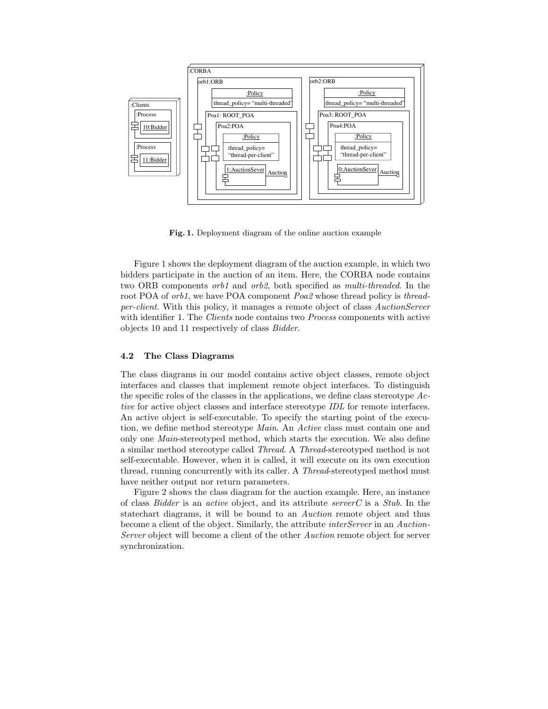

**Fig. 1.** Deployment diagram of the online auction example

Figure 1 shows the deployment diagram of the auction example, in which two bidders participate in the auction of an item. Here, the CORBA node contains two ORB components *orb1* and *orb2*, both specified as *multi-threaded*. In the root POA of *orb1*, we have POA component *Poa2* whose thread policy is *threadper-client*. With this policy, it manages a remote object of class *AuctionServer* with identifier 1. The *Clients* node contains two *Process* components with active objects 10 and 11 respectively of class *Bidder*.

#### **4.2 The Class Diagrams**

The class diagrams in our model contains active object classes, remote object interfaces and classes that implement remote object interfaces. To distinguish the specific roles of the classes in the applications, we define class stereotype *Active* for active object classes and interface stereotype *IDL* for remote interfaces. An active object is self-executable. To specify the starting point of the execution, we define method stereotype *Main*. An *Active* class must contain one and only one *Main*-stereotyped method, which starts the execution. We also define a similar method stereotype called *Thread*. A *Thread*-stereotyped method is not self-executable. However, when it is called, it will execute on its own execution thread, running concurrently with its caller. A *Thread*-stereotyped method must have neither output nor return parameters.

Figure 2 shows the class diagram for the auction example. Here, an instance of class *Bidder* is an *active* object, and its attribute *serverC* is a *Stub*. In the statechart diagrams, it will be bound to an *Auction* remote object and thus become a client of the object. Similarly, the attribute *interServer* in an *Auction-Server* object will become a client of the other *Auction* remote object for server synchronization.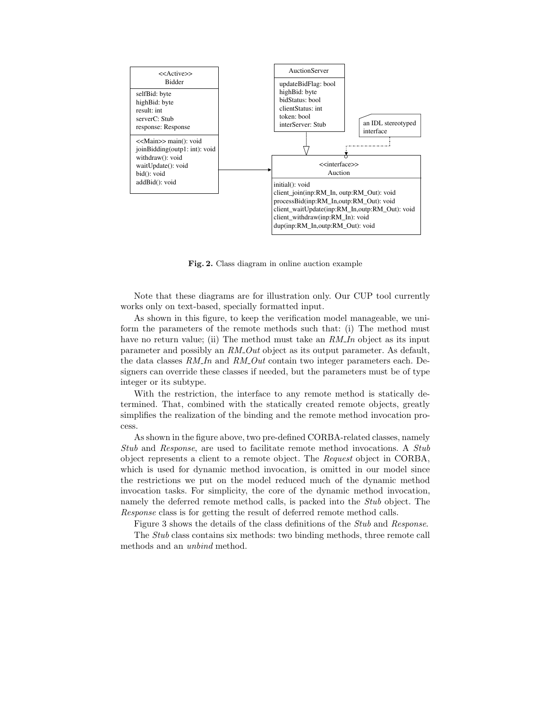

**Fig. 2.** Class diagram in online auction example

Note that these diagrams are for illustration only. Our CUP tool currently works only on text-based, specially formatted input.

As shown in this figure, to keep the verification model manageable, we uniform the parameters of the remote methods such that: (i) The method must have no return value; (ii) The method must take an *RM In* object as its input parameter and possibly an *RM Out* object as its output parameter. As default, the data classes *RM In* and *RM Out* contain two integer parameters each. Designers can override these classes if needed, but the parameters must be of type integer or its subtype.

With the restriction, the interface to any remote method is statically determined. That, combined with the statically created remote objects, greatly simplifies the realization of the binding and the remote method invocation process.

As shown in the figure above, two pre-defined CORBA-related classes, namely *Stub* and *Response*, are used to facilitate remote method invocations. A *Stub* object represents a client to a remote object. The *Request* object in CORBA, which is used for dynamic method invocation, is omitted in our model since the restrictions we put on the model reduced much of the dynamic method invocation tasks. For simplicity, the core of the dynamic method invocation, namely the deferred remote method calls, is packed into the *Stub* object. The *Response* class is for getting the result of deferred remote method calls.

Figure 3 shows the details of the class definitions of the *Stub* and *Response*.

The *Stub* class contains six methods: two binding methods, three remote call methods and an *unbind* method.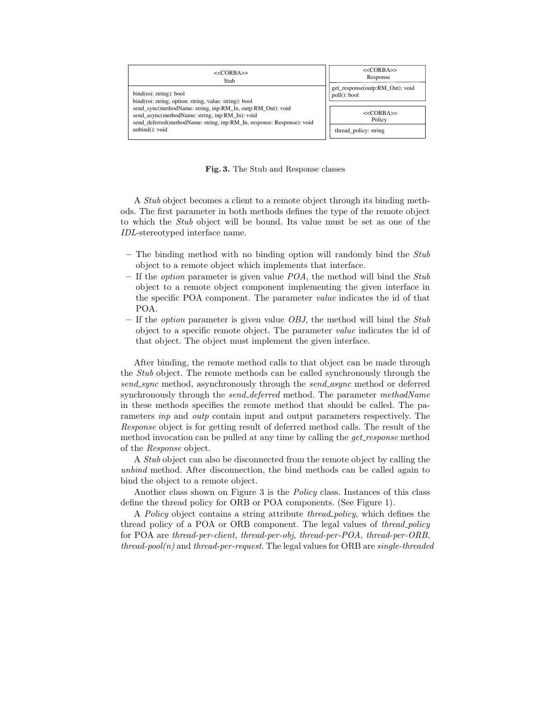| $<<$ CORBA $>>$<br>Stub<br>bind(roi: string): bool<br>bind(roi: string, option: string, value: string): bool<br>send_sync(methodName: string, inp:RM_In, outp:RM_Out): void<br>send async(methodName: string, inp:RM In): void<br>send deferred (method Name: string, inp: RM In, response: Response): void<br>$unbind()$ : void | $<<$ CORBA $>>$<br>Response                      |
|----------------------------------------------------------------------------------------------------------------------------------------------------------------------------------------------------------------------------------------------------------------------------------------------------------------------------------|--------------------------------------------------|
|                                                                                                                                                                                                                                                                                                                                  | get_response(outp:RM_Out): void<br>$pol($ : bool |
|                                                                                                                                                                                                                                                                                                                                  | $<<$ CORBA $>>$<br>Policy                        |
|                                                                                                                                                                                                                                                                                                                                  | thread policy: string                            |

**Fig. 3.** The Stub and Response classes

A *Stub* object becomes a client to a remote object through its binding methods. The first parameter in both methods defines the type of the remote object to which the *Stub* object will be bound. Its value must be set as one of the *IDL*-stereotyped interface name.

- **–** The binding method with no binding option will randomly bind the *Stub* object to a remote object which implements that interface.
- **–** If the *option* parameter is given value *POA*, the method will bind the *Stub* object to a remote object component implementing the given interface in the specific POA component. The parameter *value* indicates the id of that POA.
- **–** If the *option* parameter is given value *OBJ*, the method will bind the *Stub* object to a specific remote object. The parameter *value* indicates the id of that object. The object must implement the given interface.

After binding, the remote method calls to that object can be made through the *Stub* object. The remote methods can be called synchronously through the *send sync* method, asynchronously through the *send async* method or deferred synchronously through the *send deferred* method. The parameter *methodName* in these methods specifies the remote method that should be called. The parameters *inp* and *outp* contain input and output parameters respectively. The *Response* object is for getting result of deferred method calls. The result of the method invocation can be pulled at any time by calling the *get response* method of the *Response* object.

A *Stub* object can also be disconnected from the remote object by calling the *unbind* method. After disconnection, the bind methods can be called again to bind the object to a remote object.

Another class shown on Figure 3 is the *Policy* class. Instances of this class define the thread policy for ORB or POA components. (See Figure 1).

A *Policy* object contains a string attribute *thread policy*, which defines the thread policy of a POA or ORB component. The legal values of *thread policy* for POA are *thread-per-client*, *thread-per-obj*, *thread-per-POA*, *thread-per-ORB*, *thread-pool(n)* and *thread-per-request*. The legal values for ORB are *single-threaded*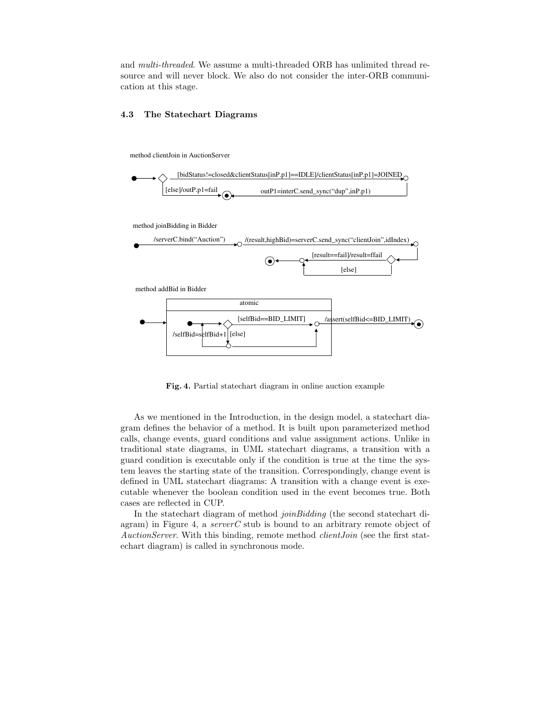and *multi-threaded*. We assume a multi-threaded ORB has unlimited thread resource and will never block. We also do not consider the inter-ORB communication at this stage.

#### **4.3 The Statechart Diagrams**



**Fig. 4.** Partial statechart diagram in online auction example

As we mentioned in the Introduction, in the design model, a statechart diagram defines the behavior of a method. It is built upon parameterized method calls, change events, guard conditions and value assignment actions. Unlike in traditional state diagrams, in UML statechart diagrams, a transition with a guard condition is executable only if the condition is true at the time the system leaves the starting state of the transition. Correspondingly, change event is defined in UML statechart diagrams: A transition with a change event is executable whenever the boolean condition used in the event becomes true. Both cases are reflected in CUP.

In the statechart diagram of method *joinBidding* (the second statechart diagram) in Figure 4, a *serverC* stub is bound to an arbitrary remote object of *AuctionServer*. With this binding, remote method *clientJoin* (see the first statechart diagram) is called in synchronous mode.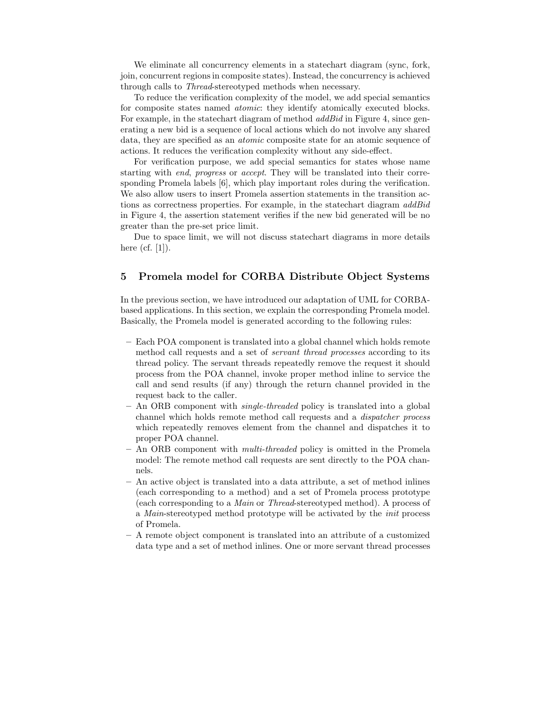We eliminate all concurrency elements in a statechart diagram (sync, fork, join, concurrent regions in composite states). Instead, the concurrency is achieved through calls to *Thread*-stereotyped methods when necessary.

To reduce the verification complexity of the model, we add special semantics for composite states named *atomic*: they identify atomically executed blocks. For example, in the statechart diagram of method *addBid* in Figure 4, since generating a new bid is a sequence of local actions which do not involve any shared data, they are specified as an *atomic* composite state for an atomic sequence of actions. It reduces the verification complexity without any side-effect.

For verification purpose, we add special semantics for states whose name starting with *end*, *progress* or *accept*. They will be translated into their corresponding Promela labels [6], which play important roles during the verification. We also allow users to insert Promela assertion statements in the transition actions as correctness properties. For example, in the statechart diagram *addBid* in Figure 4, the assertion statement verifies if the new bid generated will be no greater than the pre-set price limit.

Due to space limit, we will not discuss statechart diagrams in more details here (cf. [1]).

# **5 Promela model for CORBA Distribute Object Systems**

In the previous section, we have introduced our adaptation of UML for CORBAbased applications. In this section, we explain the corresponding Promela model. Basically, the Promela model is generated according to the following rules:

- **–** Each POA component is translated into a global channel which holds remote method call requests and a set of *servant thread processes* according to its thread policy. The servant threads repeatedly remove the request it should process from the POA channel, invoke proper method inline to service the call and send results (if any) through the return channel provided in the request back to the caller.
- **–** An ORB component with *single-threaded* policy is translated into a global channel which holds remote method call requests and a *dispatcher process* which repeatedly removes element from the channel and dispatches it to proper POA channel.
- **–** An ORB component with *multi-threaded* policy is omitted in the Promela model: The remote method call requests are sent directly to the POA channels.
- **–** An active object is translated into a data attribute, a set of method inlines (each corresponding to a method) and a set of Promela process prototype (each corresponding to a *Main* or *Thread*-stereotyped method). A process of a *Main*-stereotyped method prototype will be activated by the *init* process of Promela.
- **–** A remote object component is translated into an attribute of a customized data type and a set of method inlines. One or more servant thread processes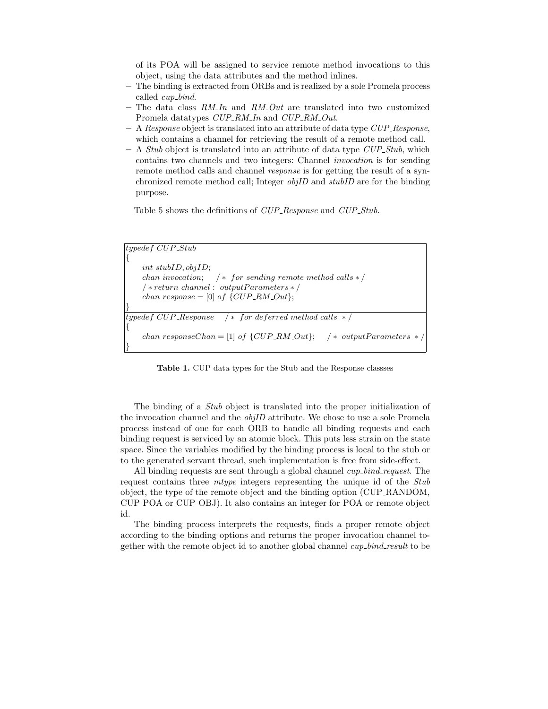of its POA will be assigned to service remote method invocations to this object, using the data attributes and the method inlines.

- **–** The binding is extracted from ORBs and is realized by a sole Promela process called *cup bind*.
- **–** The data class *RM In* and *RM Out* are translated into two customized Promela datatypes *CUP RM In* and *CUP RM Out*.
- **–** A *Response* object is translated into an attribute of data type *CUP Response*, which contains a channel for retrieving the result of a remote method call.
- **–** A *Stub* object is translated into an attribute of data type *CUP Stub*, which contains two channels and two integers: Channel *invocation* is for sending remote method calls and channel *response* is for getting the result of a synchronized remote method call; Integer *objID* and *stubID* are for the binding purpose.

Table 5 shows the definitions of *CUP Response* and *CUP Stub*.

```
typedef CUP Stub
{
   int stubID, objID;
   chan invocation; / ∗ for sending remote method calls ∗ /
    / ∗ return channel : outputP arameters ∗ /
   chan response = [0] of \{CUP\ RM\ Out\};}
typedef CUP Response / ∗ for deferred method calls ∗ /
{
    chan responseChan = [1] of \{CUP\_RM\_Out\}; /* outputParameters *
}
```
**Table 1.** CUP data types for the Stub and the Response classses

The binding of a *Stub* object is translated into the proper initialization of the invocation channel and the *objID* attribute. We chose to use a sole Promela process instead of one for each ORB to handle all binding requests and each binding request is serviced by an atomic block. This puts less strain on the state space. Since the variables modified by the binding process is local to the stub or to the generated servant thread, such implementation is free from side-effect.

All binding requests are sent through a global channel *cup bind request*. The request contains three *mtype* integers representing the unique id of the *Stub* object, the type of the remote object and the binding option (CUP RANDOM, CUP POA or CUP OBJ). It also contains an integer for POA or remote object id.

The binding process interprets the requests, finds a proper remote object according to the binding options and returns the proper invocation channel together with the remote object id to another global channel *cup bind result* to be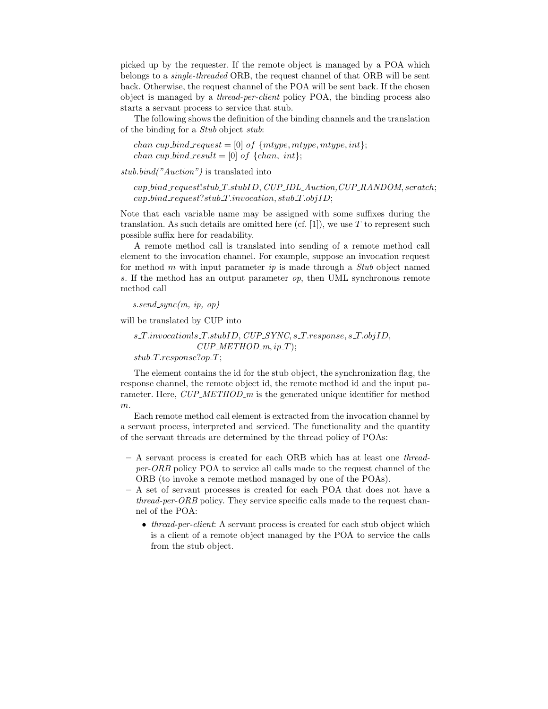picked up by the requester. If the remote object is managed by a POA which belongs to a *single-threaded* ORB, the request channel of that ORB will be sent back. Otherwise, the request channel of the POA will be sent back. If the chosen object is managed by a *thread-per-client* policy POA, the binding process also starts a servant process to service that stub.

The following shows the definition of the binding channels and the translation of the binding for a *Stub* object *stub*:

*chan cup bind request* = [0] *of*  ${mtype, mype, mype, int}$ ; *chan cup bind result* = [0] *of* {*chan, int*};

*stub.bind("Auction")* is translated into

*cup bind request*!*stub T.stubID, CUP IDL Auction,CUP RANDOM, scratch*; *cup bind request*?*stub T.invocation, stub T.objID*;

Note that each variable name may be assigned with some suffixes during the translation. As such details are omitted here (cf.  $[1]$ ), we use T to represent such possible suffix here for readability.

A remote method call is translated into sending of a remote method call element to the invocation channel. For example, suppose an invocation request for method *m* with input parameter *ip* is made through a *Stub* object named *s*. If the method has an output parameter *op*, then UML synchronous remote method call

```
s.send sync(m, ip, op)
```
will be translated by CUP into

```
s T.invocation!s T.stubID, CUP SYNC, s T.response, s T.objID,
               CUP\_METHOD\_m, ip T);
stub T.response?op T ;
```
The element contains the id for the stub object, the synchronization flag, the response channel, the remote object id, the remote method id and the input parameter. Here, *CUP\_METHOD\_m* is the generated unique identifier for method *m*.

Each remote method call element is extracted from the invocation channel by a servant process, interpreted and serviced. The functionality and the quantity of the servant threads are determined by the thread policy of POAs:

- **–** A servant process is created for each ORB which has at least one *threadper-ORB* policy POA to service all calls made to the request channel of the ORB (to invoke a remote method managed by one of the POAs).
- **–** A set of servant processes is created for each POA that does not have a *thread-per-ORB* policy. They service specific calls made to the request channel of the POA:
	- *thread-per-client*: A servant process is created for each stub object which is a client of a remote object managed by the POA to service the calls from the stub object.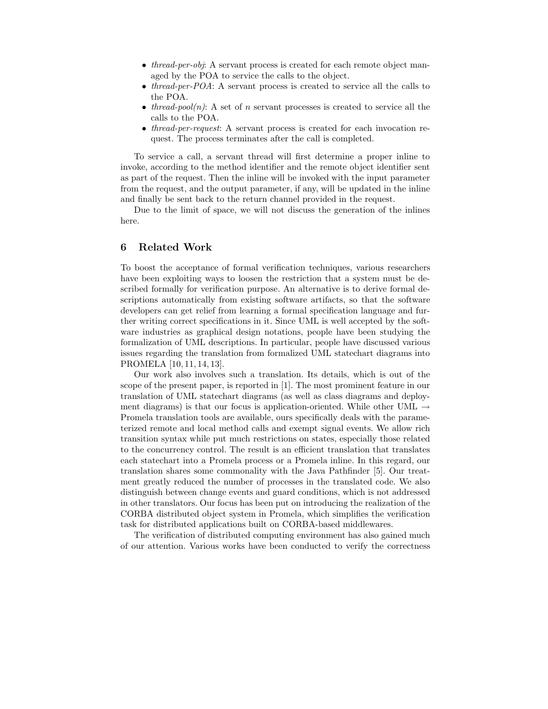- *thread-per-obj*: A servant process is created for each remote object managed by the POA to service the calls to the object.
- *thread-per-POA*: A servant process is created to service all the calls to the POA.
- *thread-pool(n)*: A set of *n* servant processes is created to service all the calls to the POA.
- *thread-per-request*: A servant process is created for each invocation request. The process terminates after the call is completed.

To service a call, a servant thread will first determine a proper inline to invoke, according to the method identifier and the remote object identifier sent as part of the request. Then the inline will be invoked with the input parameter from the request, and the output parameter, if any, will be updated in the inline and finally be sent back to the return channel provided in the request.

Due to the limit of space, we will not discuss the generation of the inlines here.

## **6 Related Work**

To boost the acceptance of formal verification techniques, various researchers have been exploiting ways to loosen the restriction that a system must be described formally for verification purpose. An alternative is to derive formal descriptions automatically from existing software artifacts, so that the software developers can get relief from learning a formal specification language and further writing correct specifications in it. Since UML is well accepted by the software industries as graphical design notations, people have been studying the formalization of UML descriptions. In particular, people have discussed various issues regarding the translation from formalized UML statechart diagrams into PROMELA [10, 11, 14, 13].

Our workalso involves such a translation. Its details, which is out of the scope of the present paper, is reported in [1]. The most prominent feature in our translation of UML statechart diagrams (as well as class diagrams and deployment diagrams) is that our focus is application-oriented. While other UML  $\rightarrow$ Promela translation tools are available, ours specifically deals with the parameterized remote and local method calls and exempt signal events. We allow rich transition syntax while put much restrictions on states, especially those related to the concurrency control. The result is an efficient translation that translates each statechart into a Promela process or a Promela inline. In this regard, our translation shares some commonality with the Java Pathfinder [5]. Our treatment greatly reduced the number of processes in the translated code. We also distinguish between change events and guard conditions, which is not addressed in other translators. Our focus has been put on introducing the realization of the CORBA distributed object system in Promela, which simplifies the verification task for distributed applications built on CORBA-based middlewares.

The verification of distributed computing environment has also gained much of our attention. Various works have been conducted to verify the correctness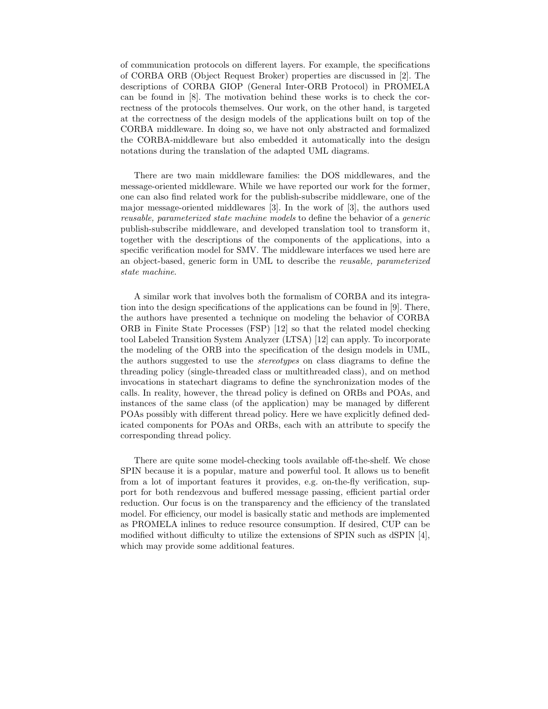of communication protocols on different layers. For example, the specifications of CORBA ORB (Object Request Broker) properties are discussed in [2]. The descriptions of CORBA GIOP (General Inter-ORB Protocol) in PROMELA can be found in [8]. The motivation behind these works is to check the correctness of the protocols themselves. Our work, on the other hand, is targeted at the correctness of the design models of the applications built on top of the CORBA middleware. In doing so, we have not only abstracted and formalized the CORBA-middleware but also embedded it automatically into the design notations during the translation of the adapted UML diagrams.

There are two main middleware families: the DOS middlewares, and the message-oriented middleware. While we have reported our work for the former, one can also find related work for the publish-subscribe middleware, one of the major message-oriented middlewares [3]. In the workof [3], the authors used *reusable, parameterized state machine models* to define the behavior of a *generic* publish-subscribe middleware, and developed translation tool to transform it, together with the descriptions of the components of the applications, into a specific verification model for SMV. The middleware interfaces we used here are an object-based, generic form in UML to describe the *reusable, parameterized state machine*.

A similar work that involves both the formalism of CORBA and its integration into the design specifications of the applications can be found in [9]. There, the authors have presented a technique on modeling the behavior of CORBA ORB in Finite State Processes (FSP) [12] so that the related model checking tool Labeled Transition System Analyzer (LTSA) [12] can apply. To incorporate the modeling of the ORB into the specification of the design models in UML, the authors suggested to use the *stereotypes* on class diagrams to define the threading policy (single-threaded class or multithreaded class), and on method invocations in statechart diagrams to define the synchronization modes of the calls. In reality, however, the thread policy is defined on ORBs and POAs, and instances of the same class (of the application) may be managed by different POAs possibly with different thread policy. Here we have explicitly defined dedicated components for POAs and ORBs, each with an attribute to specify the corresponding thread policy.

There are quite some model-checking tools available off-the-shelf. We chose SPIN because it is a popular, mature and powerful tool. It allows us to benefit from a lot of important features it provides, e.g. on-the-fly verification, support for both rendezvous and buffered message passing, efficient partial order reduction. Our focus is on the transparency and the efficiency of the translated model. For efficiency, our model is basically static and methods are implemented as PROMELA inlines to reduce resource consumption. If desired, CUP can be modified without difficulty to utilize the extensions of SPIN such as  $dSPIN$  [4], which may provide some additional features.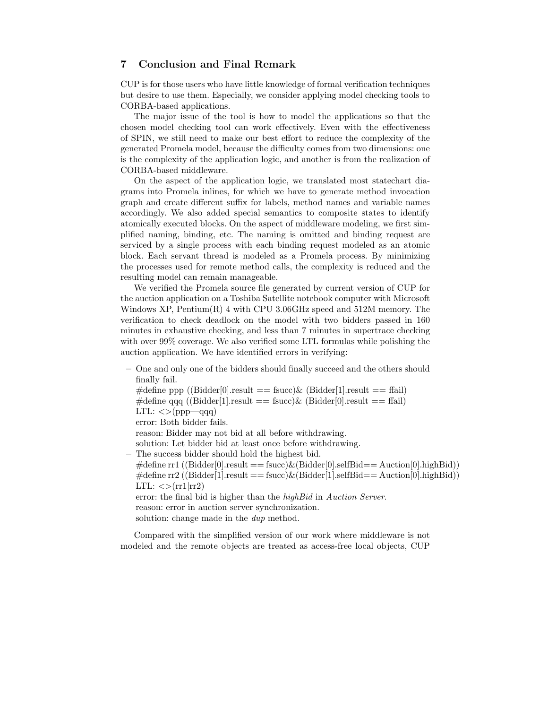# **7 Conclusion and Final Remark**

CUP is for those users who have little knowledge of formal verification techniques but desire to use them. Especially, we consider applying model checking tools to CORBA-based applications.

The major issue of the tool is how to model the applications so that the chosen model checking tool can work effectively. Even with the effectiveness of SPIN, we still need to make our best effort to reduce the complexity of the generated Promela model, because the difficulty comes from two dimensions: one is the complexity of the application logic, and another is from the realization of CORBA-based middleware.

On the aspect of the application logic, we translated most statechart diagrams into Promela inlines, for which we have to generate method invocation graph and create different suffix for labels, method names and variable names accordingly. We also added special semantics to composite states to identify atomically executed blocks. On the aspect of middleware modeling, we first simplified naming, binding, etc. The naming is omitted and binding request are serviced by a single process with each binding request modeled as an atomic block. Each servant thread is modeled as a Promela process. By minimizing the processes used for remote method calls, the complexity is reduced and the resulting model can remain manageable.

We verified the Promela source file generated by current version of CUP for the auction application on a Toshiba Satellite notebookcomputer with Microsoft Windows XP, Pentium $(R)$  4 with CPU 3.06GHz speed and 512M memory. The verification to check deadlock on the model with two bidders passed in 160 minutes in exhaustive checking, and less than 7 minutes in supertrace checking with over 99% coverage. We also verified some LTL formulas while polishing the auction application. We have identified errors in verifying:

**–** One and only one of the bidders should finally succeed and the others should finally fail.

#define ppp ((Bidder[0].result == fsucc) & (Bidder[1].result == ffail) #define qqq ((Bidder[1].result == fsucc) & (Bidder[0].result == ffail)  $LTL: \ll> (ppp \rightarrow qqq)$ error: Both bidder fails. reason: Bidder may not bid at all before withdrawing. solution: Let bidder bid at least once before withdrawing. **–** The success bidder should hold the highest bid. #define rr1 ((Bidder[0].result == fsucc)&(Bidder[0].selfBid== Auction[0].highBid)) #define rr2 ((Bidder[1].result == fsucc)&(Bidder[1].selfBid== Auction[0].highBid)) LTL:  $\langle > (rr1|rr2)$ 

error: the final bid is higher than the *highBid* in *Auction Server*. reason: error in auction server synchronization. solution: change made in the *dup* method.

Compared with the simplified version of our workwhere middleware is not modeled and the remote objects are treated as access-free local objects, CUP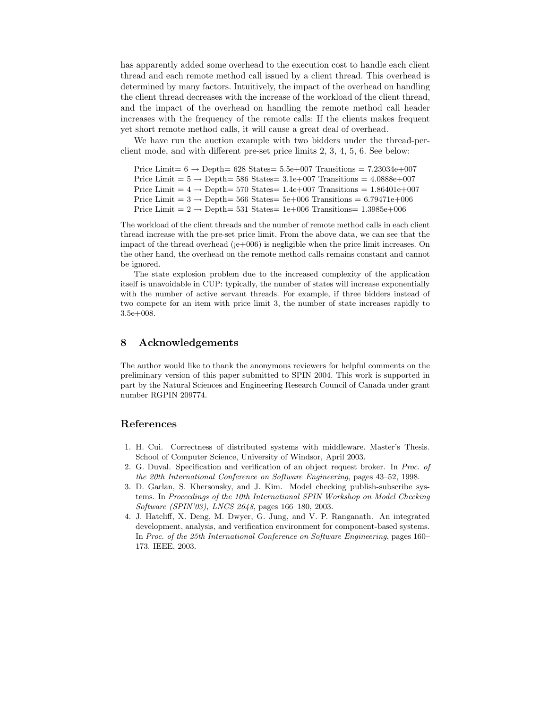has apparently added some overhead to the execution cost to handle each client thread and each remote method call issued by a client thread. This overhead is determined by many factors. Intuitively, the impact of the overhead on handling the client thread decreases with the increase of the workload of the client thread, and the impact of the overhead on handling the remote method call header increases with the frequency of the remote calls: If the clients makes frequent yet short remote method calls, it will cause a great deal of overhead.

We have run the auction example with two bidders under the thread-perclient mode, and with different pre-set price limits 2, 3, 4, 5, 6. See below:

Price Limit=  $6 \rightarrow$  Depth=  $628$  States=  $5.5e+007$  Transitions =  $7.23034e+007$ Price Limit  $= 5 \rightarrow$  Depth= 586 States= 3.1e+007 Transitions = 4.0888e+007 Price Limit  $= 4 \rightarrow$  Depth= 570 States= 1.4e+007 Transitions = 1.86401e+007 Price Limit =  $3 \rightarrow$  Depth= 566 States= 5e+006 Transitions = 6.79471e+006 Price Limit  $= 2 \rightarrow$  Depth= 531 States= 1e+006 Transitions= 1.3985e+006

The workload of the client threads and the number of remote method calls in each client thread increase with the pre-set price limit. From the above data, we can see that the impact of the thread overhead  $(ie+006)$  is negligible when the price limit increases. On the other hand, the overhead on the remote method calls remains constant and cannot be ignored.

The state explosion problem due to the increased complexity of the application itself is unavoidable in CUP: typically, the number of states will increase exponentially with the number of active servant threads. For example, if three bidders instead of two compete for an item with price limit 3, the number of state increases rapidly to 3.5e+008.

## **8 Acknowledgements**

The author would like to thank the anonymous reviewers for helpful comments on the preliminary version of this paper submitted to SPIN 2004. This work is supported in part by the Natural Sciences and Engineering Research Council of Canada under grant number RGPIN 209774.

#### **References**

- 1. H. Cui. Correctness of distributed systems with middleware. Master's Thesis. School of Computer Science, University of Windsor, April 2003.
- 2. G. Duval. Specification and verification of an object request broker. In *Proc. of the 20th International Conference on Software Engineering*, pages 43–52, 1998.
- 3. D. Garlan, S. Khersonsky, and J. Kim. Model checking publish-subscribe systems. In *Proceedings of the 10th International SPIN Workshop on Model Checking Software (SPIN'03), LNCS 2648*, pages 166–180, 2003.
- 4. J. Hatcliff, X. Deng, M. Dwyer, G. Jung, and V. P. Ranganath. An integrated development, analysis, and verification environment for component-based systems. In *Proc. of the 25th International Conference on Software Engineering*, pages 160– 173. IEEE, 2003.